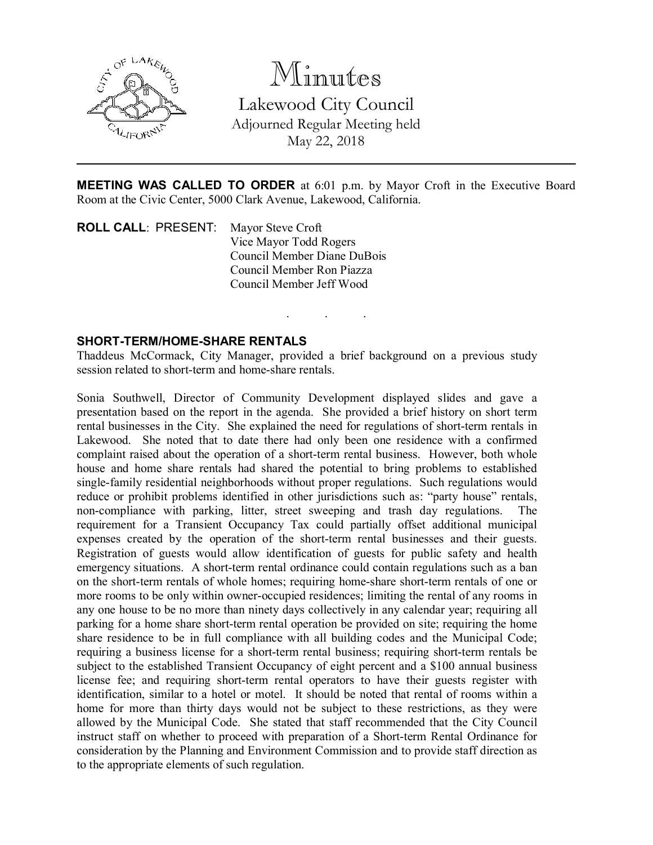

Minutes Lakewood City Council Adjourned Regular Meeting held May 22, 2018

MEETING WAS CALLED TO ORDER at 6:01 p.m. by Mayor Croft in the Executive Board Room at the Civic Center, 5000 Clark Avenue, Lakewood, California.

. . .

ROLL CALL: PRESENT: Mayor Steve Croft Vice Mayor Todd Rogers Council Member Diane DuBois Council Member Ron Piazza Council Member Jeff Wood

### SHORT-TERM/HOME-SHARE RENTALS

Thaddeus McCormack, City Manager, provided a brief background on a previous study session related to short-term and home-share rentals.

Sonia Southwell, Director of Community Development displayed slides and gave a presentation based on the report in the agenda. She provided a brief history on short term rental businesses in the City. She explained the need for regulations of short-term rentals in Lakewood. She noted that to date there had only been one residence with a confirmed complaint raised about the operation of a short-term rental business. However, both whole house and home share rentals had shared the potential to bring problems to established single-family residential neighborhoods without proper regulations. Such regulations would reduce or prohibit problems identified in other jurisdictions such as: "party house" rentals, non-compliance with parking, litter, street sweeping and trash day regulations. requirement for a Transient Occupancy Tax could partially offset additional municipal expenses created by the operation of the short-term rental businesses and their guests. Registration of guests would allow identification of guests for public safety and health emergency situations. A short-term rental ordinance could contain regulations such as a ban on the short-term rentals of whole homes; requiring home-share short-term rentals of one or more rooms to be only within owner-occupied residences; limiting the rental of any rooms in any one house to be no more than ninety days collectively in any calendar year; requiring all parking for a home share short-term rental operation be provided on site; requiring the home share residence to be in full compliance with all building codes and the Municipal Code; requiring a business license for a short-term rental business; requiring short-term rentals be subject to the established Transient Occupancy of eight percent and a \$100 annual business license fee; and requiring short-term rental operators to have their guests register with identification, similar to a hotel or motel. It should be noted that rental of rooms within a home for more than thirty days would not be subject to these restrictions, as they were allowed by the Municipal Code. She stated that staff recommended that the City Council instruct staff on whether to proceed with preparation of a Short-term Rental Ordinance for consideration by the Planning and Environment Commission and to provide staff direction as to the appropriate elements of such regulation.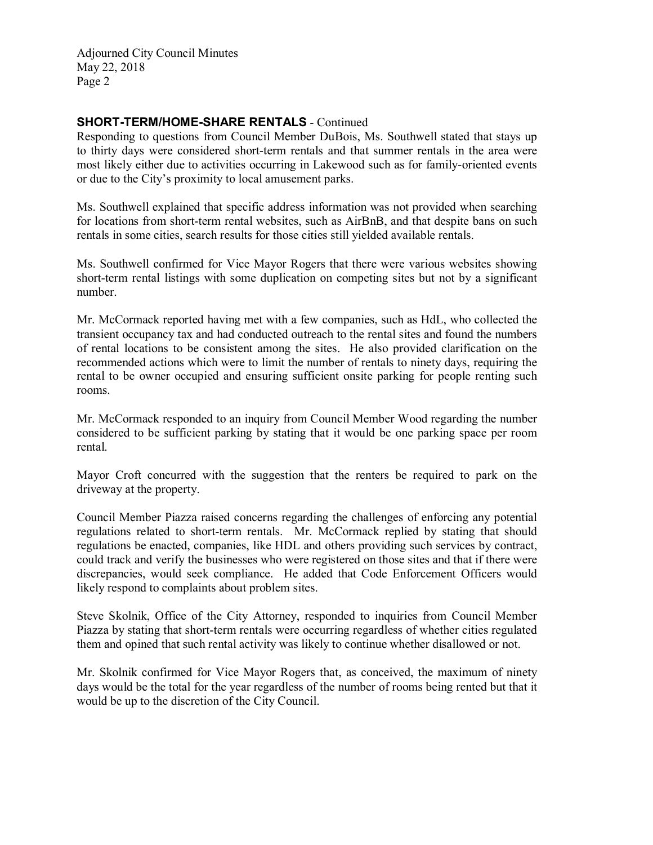# SHORT-TERM/HOME-SHARE RENTALS - Continued

Responding to questions from Council Member DuBois, Ms. Southwell stated that stays up to thirty days were considered short-term rentals and that summer rentals in the area were most likely either due to activities occurring in Lakewood such as for family-oriented events or due to the City's proximity to local amusement parks.

Ms. Southwell explained that specific address information was not provided when searching for locations from short-term rental websites, such as AirBnB, and that despite bans on such rentals in some cities, search results for those cities still yielded available rentals.

Ms. Southwell confirmed for Vice Mayor Rogers that there were various websites showing short-term rental listings with some duplication on competing sites but not by a significant number.

Mr. McCormack reported having met with a few companies, such as HdL, who collected the transient occupancy tax and had conducted outreach to the rental sites and found the numbers of rental locations to be consistent among the sites. He also provided clarification on the recommended actions which were to limit the number of rentals to ninety days, requiring the rental to be owner occupied and ensuring sufficient onsite parking for people renting such rooms.

Mr. McCormack responded to an inquiry from Council Member Wood regarding the number considered to be sufficient parking by stating that it would be one parking space per room rental.

Mayor Croft concurred with the suggestion that the renters be required to park on the driveway at the property.

Council Member Piazza raised concerns regarding the challenges of enforcing any potential regulations related to short-term rentals. Mr. McCormack replied by stating that should regulations be enacted, companies, like HDL and others providing such services by contract, could track and verify the businesses who were registered on those sites and that if there were discrepancies, would seek compliance. He added that Code Enforcement Officers would likely respond to complaints about problem sites.

Steve Skolnik, Office of the City Attorney, responded to inquiries from Council Member Piazza by stating that short-term rentals were occurring regardless of whether cities regulated them and opined that such rental activity was likely to continue whether disallowed or not.

Mr. Skolnik confirmed for Vice Mayor Rogers that, as conceived, the maximum of ninety days would be the total for the year regardless of the number of rooms being rented but that it would be up to the discretion of the City Council.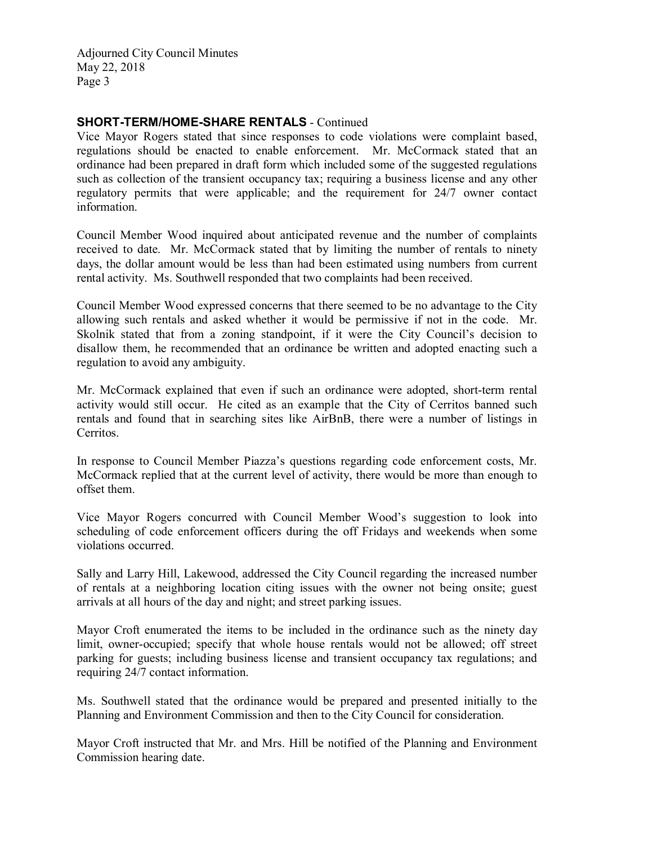# SHORT-TERM/HOME-SHARE RENTALS - Continued

Vice Mayor Rogers stated that since responses to code violations were complaint based, regulations should be enacted to enable enforcement. Mr. McCormack stated that an ordinance had been prepared in draft form which included some of the suggested regulations such as collection of the transient occupancy tax; requiring a business license and any other regulatory permits that were applicable; and the requirement for 24/7 owner contact information.

Council Member Wood inquired about anticipated revenue and the number of complaints received to date. Mr. McCormack stated that by limiting the number of rentals to ninety days, the dollar amount would be less than had been estimated using numbers from current rental activity. Ms. Southwell responded that two complaints had been received.

Council Member Wood expressed concerns that there seemed to be no advantage to the City allowing such rentals and asked whether it would be permissive if not in the code. Mr. Skolnik stated that from a zoning standpoint, if it were the City Council's decision to disallow them, he recommended that an ordinance be written and adopted enacting such a regulation to avoid any ambiguity.

Mr. McCormack explained that even if such an ordinance were adopted, short-term rental activity would still occur. He cited as an example that the City of Cerritos banned such rentals and found that in searching sites like AirBnB, there were a number of listings in Cerritos.

In response to Council Member Piazza's questions regarding code enforcement costs, Mr. McCormack replied that at the current level of activity, there would be more than enough to offset them.

Vice Mayor Rogers concurred with Council Member Wood's suggestion to look into scheduling of code enforcement officers during the off Fridays and weekends when some violations occurred.

Sally and Larry Hill, Lakewood, addressed the City Council regarding the increased number of rentals at a neighboring location citing issues with the owner not being onsite; guest arrivals at all hours of the day and night; and street parking issues.

Mayor Croft enumerated the items to be included in the ordinance such as the ninety day limit, owner-occupied; specify that whole house rentals would not be allowed; off street parking for guests; including business license and transient occupancy tax regulations; and requiring 24/7 contact information.

Ms. Southwell stated that the ordinance would be prepared and presented initially to the Planning and Environment Commission and then to the City Council for consideration.

Mayor Croft instructed that Mr. and Mrs. Hill be notified of the Planning and Environment Commission hearing date.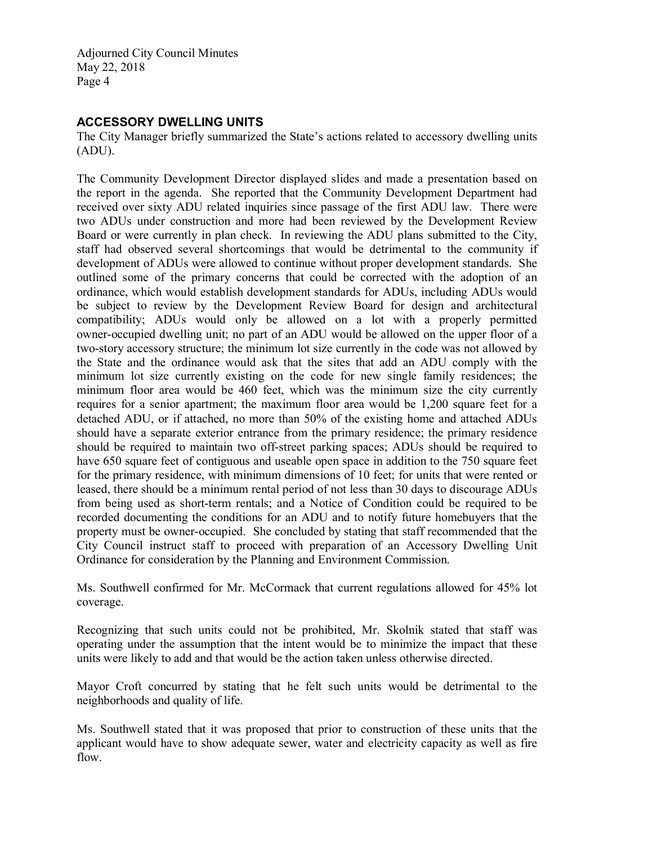### ACCESSORY DWELLING UNITS

The City Manager briefly summarized the State's actions related to accessory dwelling units (ADU).

The Community Development Director displayed slides and made a presentation based on the report in the agenda. She reported that the Community Development Department had received over sixty ADU related inquiries since passage of the first ADU law. There were two ADUs under construction and more had been reviewed by the Development Review Board or were currently in plan check. In reviewing the ADU plans submitted to the City, staff had observed several shortcomings that would be detrimental to the community if development of ADUs were allowed to continue without proper development standards. She outlined some of the primary concerns that could be corrected with the adoption of an ordinance, which would establish development standards for ADUs, including ADUs would be subject to review by the Development Review Board for design and architectural compatibility; ADUs would only be allowed on a lot with a properly permitted owner-occupied dwelling unit; no part of an ADU would be allowed on the upper floor of a two-story accessory structure; the minimum lot size currently in the code was not allowed by the State and the ordinance would ask that the sites that add an ADU comply with the minimum lot size currently existing on the code for new single family residences; the minimum floor area would be 460 feet, which was the minimum size the city currently requires for a senior apartment; the maximum floor area would be 1,200 square feet for a detached ADU, or if attached, no more than 50% of the existing home and attached ADUs should have a separate exterior entrance from the primary residence; the primary residence should be required to maintain two off-street parking spaces; ADUs should be required to have 650 square feet of contiguous and useable open space in addition to the 750 square feet for the primary residence, with minimum dimensions of 10 feet; for units that were rented or leased, there should be a minimum rental period of not less than 30 days to discourage ADUs from being used as short-term rentals; and a Notice of Condition could be required to be recorded documenting the conditions for an ADU and to notify future homebuyers that the property must be owner-occupied. She concluded by stating that staff recommended that the City Council instruct staff to proceed with preparation of an Accessory Dwelling Unit Ordinance for consideration by the Planning and Environment Commission.

Ms. Southwell confirmed for Mr. McCormack that current regulations allowed for 45% lot coverage.

Recognizing that such units could not be prohibited, Mr. Skolnik stated that staff was operating under the assumption that the intent would be to minimize the impact that these units were likely to add and that would be the action taken unless otherwise directed.

Mayor Croft concurred by stating that he felt such units would be detrimental to the neighborhoods and quality of life.

Ms. Southwell stated that it was proposed that prior to construction of these units that the applicant would have to show adequate sewer, water and electricity capacity as well as fire flow.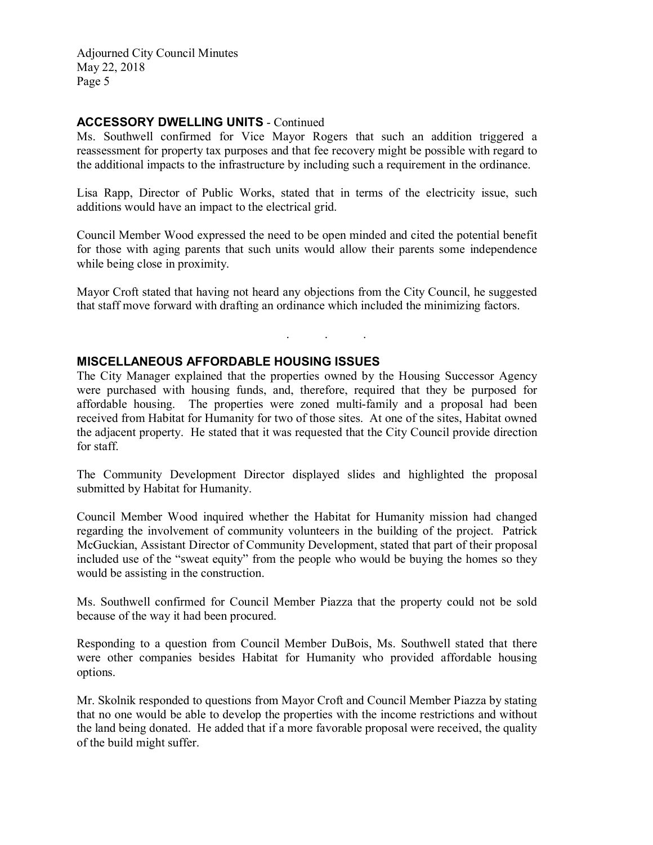## ACCESSORY DWELLING UNITS - Continued

Ms. Southwell confirmed for Vice Mayor Rogers that such an addition triggered a reassessment for property tax purposes and that fee recovery might be possible with regard to the additional impacts to the infrastructure by including such a requirement in the ordinance.

Lisa Rapp, Director of Public Works, stated that in terms of the electricity issue, such additions would have an impact to the electrical grid.

Council Member Wood expressed the need to be open minded and cited the potential benefit for those with aging parents that such units would allow their parents some independence while being close in proximity.

Mayor Croft stated that having not heard any objections from the City Council, he suggested that staff move forward with drafting an ordinance which included the minimizing factors.

. . .

# MISCELLANEOUS AFFORDABLE HOUSING ISSUES

The City Manager explained that the properties owned by the Housing Successor Agency were purchased with housing funds, and, therefore, required that they be purposed for affordable housing. The properties were zoned multi-family and a proposal had been received from Habitat for Humanity for two of those sites. At one of the sites, Habitat owned the adjacent property. He stated that it was requested that the City Council provide direction for staff.

The Community Development Director displayed slides and highlighted the proposal submitted by Habitat for Humanity.

Council Member Wood inquired whether the Habitat for Humanity mission had changed regarding the involvement of community volunteers in the building of the project. Patrick McGuckian, Assistant Director of Community Development, stated that part of their proposal included use of the "sweat equity" from the people who would be buying the homes so they would be assisting in the construction.

Ms. Southwell confirmed for Council Member Piazza that the property could not be sold because of the way it had been procured.

Responding to a question from Council Member DuBois, Ms. Southwell stated that there were other companies besides Habitat for Humanity who provided affordable housing options.

Mr. Skolnik responded to questions from Mayor Croft and Council Member Piazza by stating that no one would be able to develop the properties with the income restrictions and without the land being donated. He added that if a more favorable proposal were received, the quality of the build might suffer.